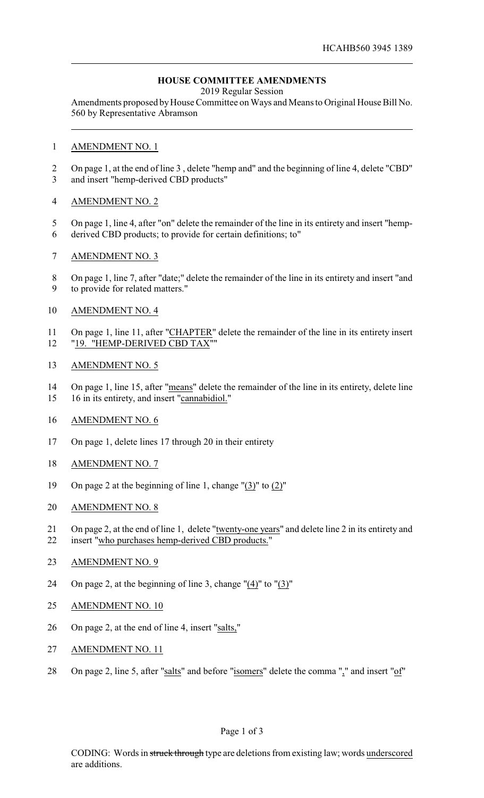## **HOUSE COMMITTEE AMENDMENTS**

2019 Regular Session

Amendments proposed by House Committee on Ways and Means to Original House Bill No. 560 by Representative Abramson

#### AMENDMENT NO. 1

 On page 1, at the end of line 3 , delete "hemp and" and the beginning of line 4, delete "CBD" and insert "hemp-derived CBD products"

### AMENDMENT NO. 2

- On page 1, line 4, after "on" delete the remainder of the line in its entirety and insert "hemp-
- derived CBD products; to provide for certain definitions; to"
- AMENDMENT NO. 3
- On page 1, line 7, after "date;" delete the remainder of the line in its entirety and insert "and to provide for related matters."
- AMENDMENT NO. 4
- On page 1, line 11, after "CHAPTER" delete the remainder of the line in its entirety insert "19. "HEMP-DERIVED CBD TAX""
- AMENDMENT NO. 5
- On page 1, line 15, after "means" delete the remainder of the line in its entirety, delete line
- 16 in its entirety, and insert "cannabidiol."
- AMENDMENT NO. 6
- On page 1, delete lines 17 through 20 in their entirety
- AMENDMENT NO. 7
- On page 2 at the beginning of line 1, change "(3)" to (2)"
- AMENDMENT NO. 8
- On page 2, at the end of line 1, delete "twenty-one years" and delete line 2 in its entirety and
- insert "who purchases hemp-derived CBD products."
- AMENDMENT NO. 9
- On page 2, at the beginning of line 3, change "(4)" to "(3)"
- AMENDMENT NO. 10
- On page 2, at the end of line 4, insert "salts,"
- AMENDMENT NO. 11
- 28 On page 2, line 5, after "salts" and before "isomers" delete the comma "," and insert "of"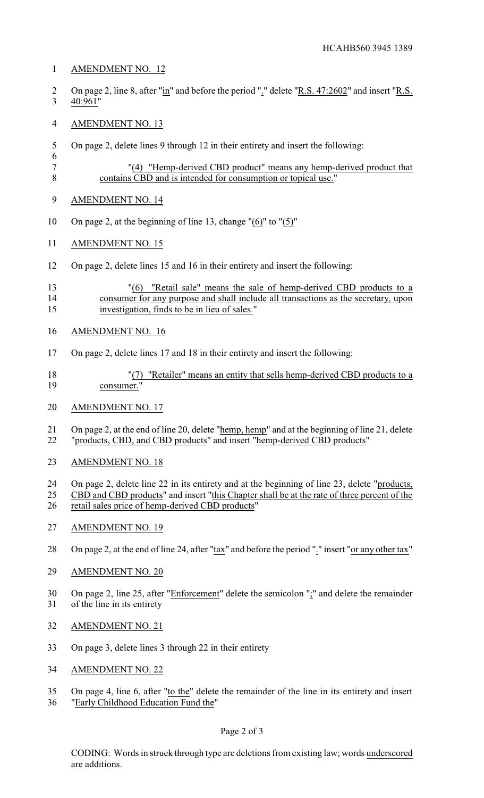### AMENDMENT NO. 12

- 2 On page 2, line 8, after "in" and before the period "." delete "R.S. 47:2602" and insert "R.S. 40:961"
- AMENDMENT NO. 13
- On page 2, delete lines 9 through 12 in their entirety and insert the following:

```
6
7 "(4) "Hemp-derived CBD product" means any hemp-derived product that
8 contains CBD and is intended for consumption or topical use."
```
- AMENDMENT NO. 14
- On page 2, at the beginning of line 13, change "(6)" to "(5)"
- AMENDMENT NO. 15
- On page 2, delete lines 15 and 16 in their entirety and insert the following:

## "(6) "Retail sale" means the sale of hemp-derived CBD products to a consumer for any purpose and shall include all transactions as the secretary, upon investigation, finds to be in lieu of sales."

- AMENDMENT NO. 16
- On page 2, delete lines 17 and 18 in their entirety and insert the following:
- "(7) "Retailer" means an entity that sells hemp-derived CBD products to a consumer."
- AMENDMENT NO. 17
- 21 On page 2, at the end of line 20, delete "<u>hemp, hemp</u>" and at the beginning of line 21, delete "products, CBD, and CBD products" and insert "hemp-derived CBD products"
- AMENDMENT NO. 18
- On page 2, delete line 22 in its entirety and at the beginning of line 23, delete "products,
- CBD and CBD products" and insert "this Chapter shall be at the rate of three percent of the retail sales price of hemp-derived CBD products"
- 27 AMENDMENT NO. 19
- On page 2, at the end of line 24, after "tax" and before the period "." insert "or any other tax"
- AMENDMENT NO. 20
- On page 2, line 25, after "Enforcement" delete the semicolon ";" and delete the remainder of the line in its entirety
- AMENDMENT NO. 21
- On page 3, delete lines 3 through 22 in their entirety
- AMENDMENT NO. 22
- On page 4, line 6, after "to the" delete the remainder of the line in its entirety and insert "Early Childhood Education Fund the"

CODING: Words in struck through type are deletions from existing law; words underscored are additions.